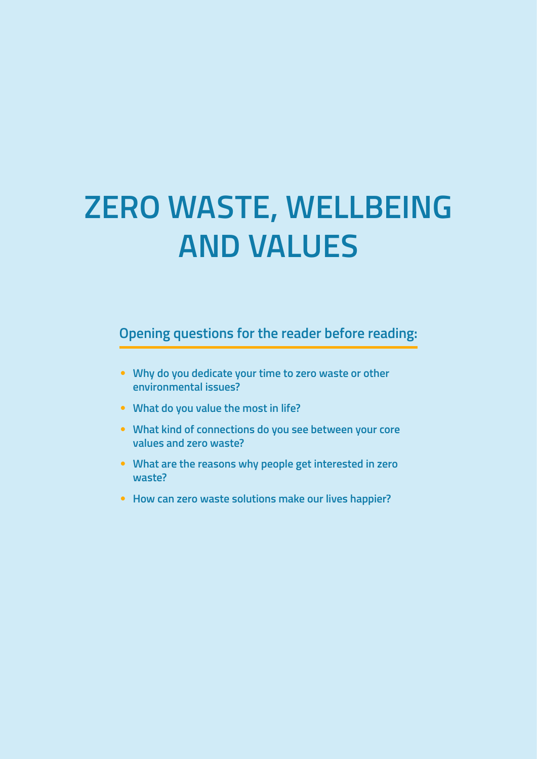# **ZERO WASTE, WELLBEING AND VALUES**

**Opening questions for the reader before reading:**

- **Why do you dedicate your time to zero waste or other environmental issues?**
- **What do you value the most in life?**
- **What kind of connections do you see between your core values and zero waste?**
- **What are the reasons why people get interested in zero waste?**
- **How can zero waste solutions make our lives happier?**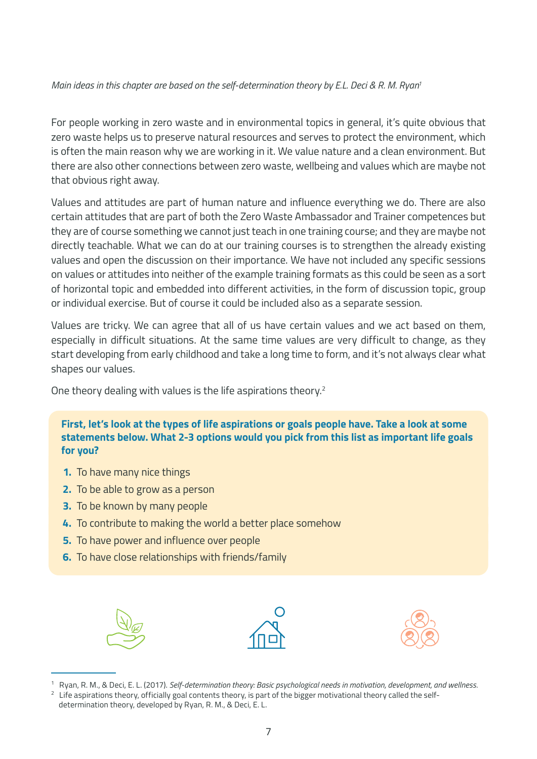#### *Main ideas in this chapter are based on the self-determination theory by E.L. Deci & R. M. Ryan1*

For people working in zero waste and in environmental topics in general, it's quite obvious that zero waste helps us to preserve natural resources and serves to protect the environment, which is often the main reason why we are working in it. We value nature and a clean environment. But there are also other connections between zero waste, wellbeing and values which are maybe not that obvious right away.

Values and attitudes are part of human nature and influence everything we do. There are also certain attitudes that are part of both the Zero Waste Ambassador and Trainer competences but they are of course something we cannot just teach in one training course; and they are maybe not directly teachable. What we can do at our training courses is to strengthen the already existing values and open the discussion on their importance. We have not included any specific sessions on values or attitudes into neither of the example training formats as this could be seen as a sort of horizontal topic and embedded into different activities, in the form of discussion topic, group or individual exercise. But of course it could be included also as a separate session.

Values are tricky. We can agree that all of us have certain values and we act based on them, especially in difficult situations. At the same time values are very difficult to change, as they start developing from early childhood and take a long time to form, and it's not always clear what shapes our values.

One theory dealing with values is the life aspirations theory.2

**First, let's look at the types of life aspirations or goals people have. Take a look at some statements below. What 2-3 options would you pick from this list as important life goals for you?**

- **1.** To have many nice things
- **2.** To be able to grow as a person
- **3.** To be known by many people
- **4.** To contribute to making the world a better place somehow
- **5.** To have power and influence over people
- **6.** To have close relationships with friends/family





<sup>1</sup> Ryan, R. M., & Deci, E. L. (2017). *Self-determination theory: Basic psychological needs in motivation, development, and wellness.* Life aspirations theory, officially goal contents theory, is part of the bigger motivational theory called the self-

determination theory, developed by Ryan, R. M., & Deci, E. L.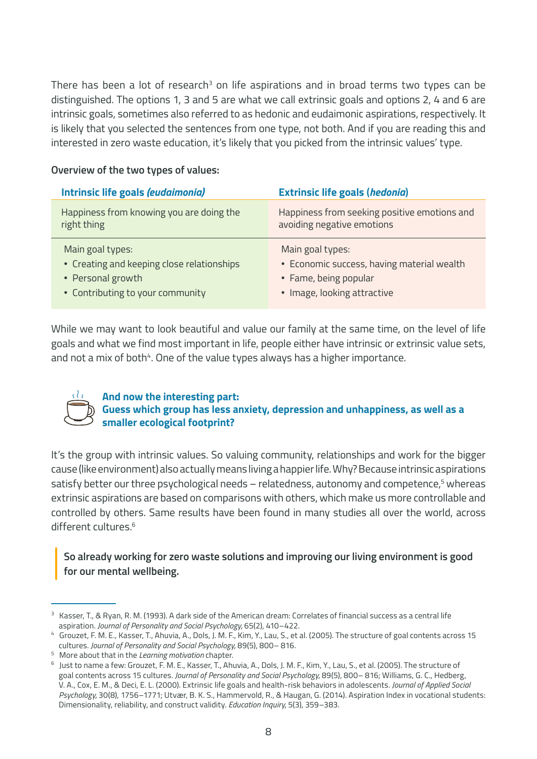There has been a lot of research $3$  on life aspirations and in broad terms two types can be distinguished. The options 1, 3 and 5 are what we call extrinsic goals and options 2, 4 and 6 are intrinsic goals, sometimes also referred to as hedonic and eudaimonic aspirations, respectively. It is likely that you selected the sentences from one type, not both. And if you are reading this and interested in zero waste education, it's likely that you picked from the intrinsic values' type.

| Intrinsic life goals (eudaimonia)                              | <b>Extrinsic life goals (hedonia)</b>                                      |
|----------------------------------------------------------------|----------------------------------------------------------------------------|
| Happiness from knowing you are doing the<br>right thing        | Happiness from seeking positive emotions and<br>avoiding negative emotions |
| Main goal types:<br>• Creating and keeping close relationships | Main goal types:<br>• Economic success, having material wealth             |
| • Personal growth                                              | • Fame, being popular                                                      |
| • Contributing to your community                               | • Image, looking attractive                                                |

#### **Overview of the two types of values:**

While we may want to look beautiful and value our family at the same time, on the level of life goals and what we find most important in life, people either have intrinsic or extrinsic value sets, and not a mix of both<sup>4</sup>. One of the value types always has a higher importance.



# **And now the interesting part:**

**Guess which group has less anxiety, depression and unhappiness, as well as a smaller ecological footprint?**

It's the group with intrinsic values. So valuing community, relationships and work for the bigger cause (like environment) also actually means living a happier life. Why? Because intrinsic aspirations satisfy better our three psychological needs – relatedness, autonomy and competence,<sup>5</sup> whereas extrinsic aspirations are based on comparisons with others, which make us more controllable and controlled by others. Same results have been found in many studies all over the world, across different cultures.6

#### **So already working for zero waste solutions and improving our living environment is good for our mental wellbeing.**

<sup>&</sup>lt;sup>3</sup> Kasser, T., & Ryan, R. M. (1993). A dark side of the American dream: Correlates of financial success as a central life aspiration. *Journal of Personality and Social Psychology,* 65(2), 410–422.

<sup>4</sup> Grouzet, F. M. E., Kasser, T., Ahuvia, A., Dols, J. M. F., Kim, Y., Lau, S., et al. (2005). The structure of goal contents across 15 cultures. *Journal of Personality and Social Psychology,* 89(5), 800– 816.

<sup>5</sup> More about that in the *Learning motivation* chapter.

<sup>6</sup> Just to name a few: Grouzet, F. M. E., Kasser, T., Ahuvia, A., Dols, J. M. F., Kim, Y., Lau, S., et al. (2005). The structure of goal contents across 15 cultures. *Journal of Personality and Social Psychology,* 89(5), 800– 816; Williams, G. C., Hedberg, V. A., Cox, E. M., & Deci, E. L. (2000). Extrinsic life goals and health-risk behaviors in adolescents. *Journal of Applied Social Psychology,* 30(8), 1756–1771; Utvær, B. K. S., Hammervold, R., & Haugan, G. (2014). Aspiration Index in vocational students: Dimensionality, reliability, and construct validity. *Education Inquiry,* 5(3), 359–383.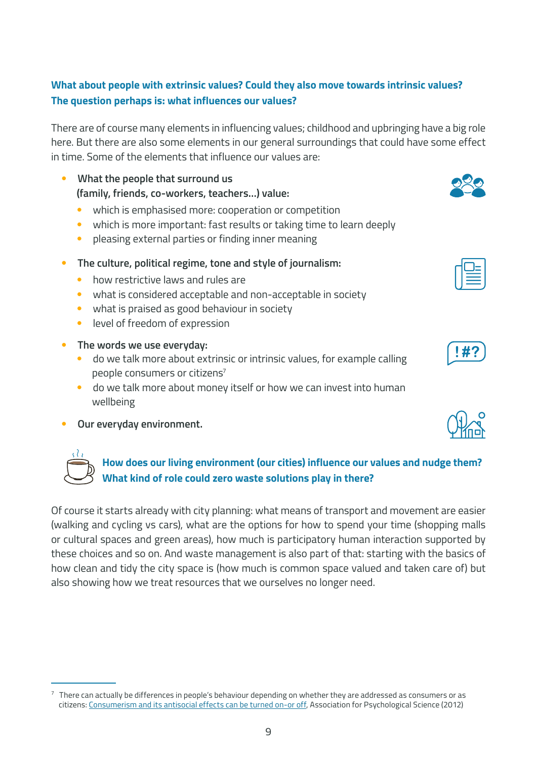#### **What about people with extrinsic values? Could they also move towards intrinsic values? The question perhaps is: what influences our values?**

There are of course many elements in influencing values; childhood and upbringing have a big role here. But there are also some elements in our general surroundings that could have some effect in time. Some of the elements that influence our values are:

- **What the people that surround us (family, friends, co-workers, teachers…) value:**
	- which is emphasised more: cooperation or competition
	- which is more important: fast results or taking time to learn deeply
	- pleasing external parties or finding inner meaning
- **The culture, political regime, tone and style of journalism:**
	- how restrictive laws and rules are
	- what is considered acceptable and non-acceptable in society
	- what is praised as good behaviour in society
	- level of freedom of expression
- **The words we use everyday:**
	- do we talk more about extrinsic or intrinsic values, for example calling people consumers or citizens<sup>7</sup>
	- do we talk more about money itself or how we can invest into human wellbeing
- **Our everyday environment.**



### **How does our living environment (our cities) influence our values and nudge them? What kind of role could zero waste solutions play in there?**

Of course it starts already with city planning: what means of transport and movement are easier (walking and cycling vs cars), what are the options for how to spend your time (shopping malls or cultural spaces and green areas), how much is participatory human interaction supported by these choices and so on. And waste management is also part of that: starting with the basics of how clean and tidy the city space is (how much is common space valued and taken care of) but also showing how we treat resources that we ourselves no longer need.

 $7$  There can actually be differences in people's behaviour depending on whether they are addressed as consumers or as citizens: [Consumerism and its antisocial effects can be turned on-or off,](https://www.psychologicalscience.org/news/releases/consumerism-and-its-antisocial-effects-can-be-turned-onor-off.html) Association for Psychological Science (2012)